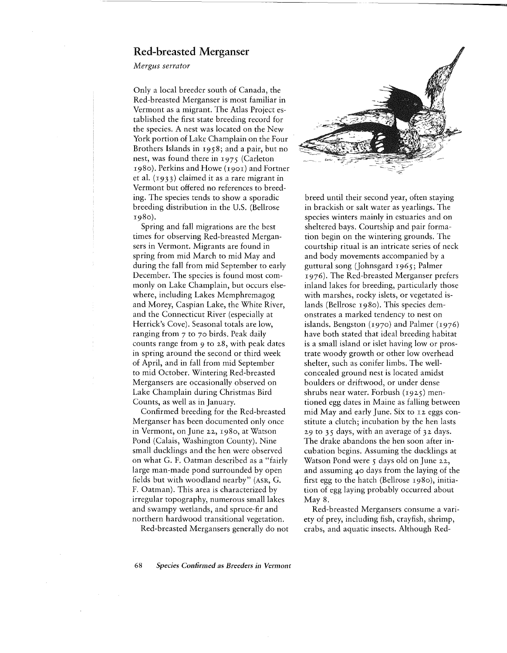## Red-breasted Merganser

*Mergus serrator*

Only a local breeder south of Canada, the Red-breasted Merganser is most familiar in Vermont as a migrant. The Atlas Project established the first state breeding record for the species. A nest was located on the New York portion of Lake Champlain on the Four Brothers Islands in 1958; and a pair, but no nest, was found there in 1975 (Carleton 1980). Perkins and Howe (1901) and Fortner et al. (1933) claimed it as a rare migrant in Vermont but offered no references to breeding. The species tends to show a sporadic breeding distribution in the U.S. (Bellrose 1980).

Spring and fall migrations are the best times for observing Red-breasted Mergansers in Vermont. Migrants are found in spring from mid March to mid May and during the fall from mid September to early December. The species is found most commonly on Lake Champlain, but occurs elsewhere, including Lakes Memphremagog and Morey, Caspian Lake, the White River, and the Connecticut River (especially at Herrick's Cove). Seasonal totals are low, ranging from 7 to 70 birds. Peak daily counts range from 9 to 28, with peak dates in spring around the second or third week of April, and in fall from mid September to mid October. Wintering Red-breasted Mergansers are occasionally observed on Lake Champlain during Christmas Bird Counts, as well as in January.

Confirmed breeding for the Red-breasted Merganser has been documented only once in Vermont, on June 22, 1980, at Watson Pond (Calais, Washington County). Nine small ducklings and the hen were observed on what G. F. Oatman described as a "fairly large man-made pond surrounded by open fields but with woodland nearby" (ASR, G. F. Oatman). This area is characterized by irregular topography, numerous small lakes and swampy wetlands, and spruce-fir and northern hardwood transitional vegetation.

Red-breasted Mergansers generally do not



breed until their second year, often staying in brackish or salt water as yearlings. The species winters mainly in estuaries and on sheltered bays. Courtship and pair formation begin on the wintering grounds. The courtship ritual is an intricate series of neck and body movements accompanied by a guttural song (Johnsgard 1965; Palmer 1976). The Red-breasted Merganser prefers inland lakes for breeding, particularly those with marshes, rocky islets, or vegetated islands (Bellrose 1980). This species demonstrates a marked tendency to nest on islands. Bengston (1970) and Palmer (1976) have both stated that ideal breeding habitat is a small island or islet having low or prostrate woody growth or other low overhead shelter, such as conifer limbs. The wellconcealed ground nest is located amidst boulders or driftwood, or under dense shrubs near water. Forbush (1925) mentioned egg dates in Maine as falling between mid May and early June. Six to 12 eggs constitute a clutch; incubation by the hen lasts 29 to  $35$  days, with an average of  $32$  days. The drake abandons the hen soon after incubation begins. Assuming the ducklings at Watson Pond were 5 days old on June 22, and assuming 40 days from the laying of the first egg to the hatch (Bellrose 1980), initiation of egg laying probably occurred about May 8.

Red-breasted Mergansers consume a variety of prey, including fish, crayfish, shrimp, crabs, and aquatic insects. Although Red-

*68 Species Confirmed as Breeders in Vermont*